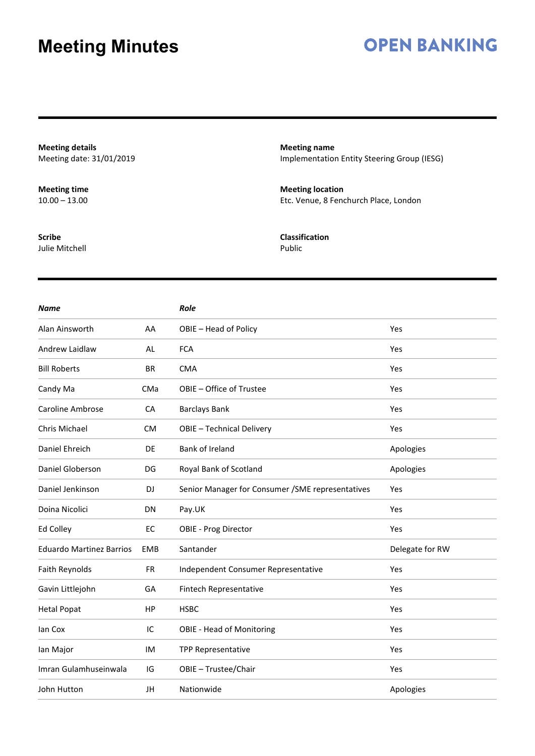### **OPEN BANKING**

**Meeting details** Meeting date: 31/01/2019

**Meeting time**  $10.00 - 13.00$ 

**Scribe** Julie Mitchell **Meeting name** Implementation Entity Steering Group (IESG)

**Meeting location** Etc. Venue, 8 Fenchurch Place, London

**Classification** Public

| <b>Name</b>                     |            | <b>Role</b>                                       |                 |
|---------------------------------|------------|---------------------------------------------------|-----------------|
| Alan Ainsworth                  | AA         | OBIE - Head of Policy                             | Yes             |
| Andrew Laidlaw                  | AL         | <b>FCA</b>                                        | Yes             |
| <b>Bill Roberts</b>             | <b>BR</b>  | <b>CMA</b>                                        | Yes             |
| Candy Ma                        | CMa        | OBIE - Office of Trustee                          | Yes             |
| Caroline Ambrose                | CA         | <b>Barclays Bank</b>                              | Yes             |
| Chris Michael                   | <b>CM</b>  | OBIE - Technical Delivery                         | Yes             |
| Daniel Ehreich                  | DE         | <b>Bank of Ireland</b>                            | Apologies       |
| Daniel Globerson                | DG         | Royal Bank of Scotland                            | Apologies       |
| Daniel Jenkinson                | DJ         | Senior Manager for Consumer / SME representatives | Yes             |
| Doina Nicolici                  | DN         | Pay.UK                                            | Yes             |
| Ed Colley                       | EC         | <b>OBIE - Prog Director</b>                       | Yes             |
| <b>Eduardo Martinez Barrios</b> | <b>EMB</b> | Santander                                         | Delegate for RW |
| Faith Reynolds                  | <b>FR</b>  | Independent Consumer Representative               | Yes             |
| Gavin Littlejohn                | GA         | Fintech Representative                            | Yes             |
| <b>Hetal Popat</b>              | HP         | <b>HSBC</b>                                       | Yes             |
| lan Cox                         | IC         | <b>OBIE - Head of Monitoring</b>                  | Yes             |
| lan Major                       | IM         | <b>TPP Representative</b>                         | Yes             |
| Imran Gulamhuseinwala           | IG         | OBIE - Trustee/Chair                              | Yes             |
| John Hutton                     | JH         | Nationwide                                        | Apologies       |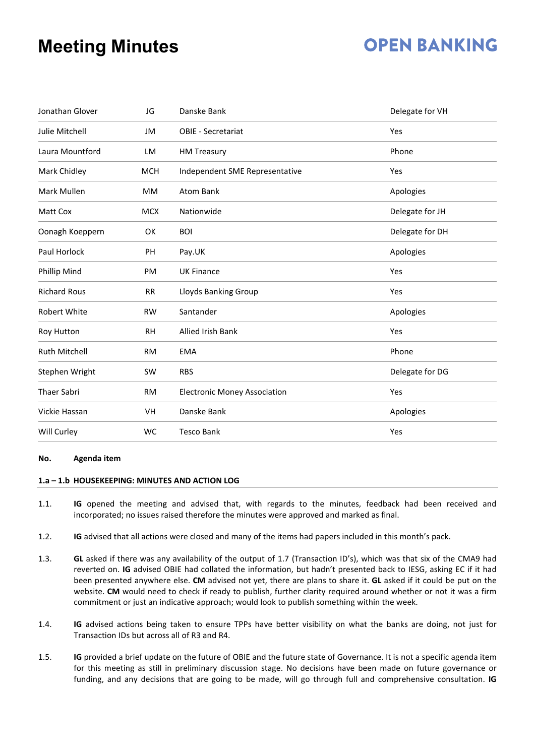## **OPEN BANKING**

| Jonathan Glover      | JG         | Danske Bank                         | Delegate for VH |
|----------------------|------------|-------------------------------------|-----------------|
| Julie Mitchell       | JM         | <b>OBIE - Secretariat</b>           | Yes             |
| Laura Mountford      | LM         | <b>HM Treasury</b>                  | Phone           |
| Mark Chidley         | <b>MCH</b> | Independent SME Representative      | Yes             |
| Mark Mullen          | <b>MM</b>  | <b>Atom Bank</b>                    | Apologies       |
| Matt Cox             | <b>MCX</b> | Nationwide                          | Delegate for JH |
| Oonagh Koeppern      | OK         | <b>BOI</b>                          | Delegate for DH |
| Paul Horlock         | PH         | Pay.UK                              | Apologies       |
| Phillip Mind         | PM         | <b>UK Finance</b>                   | Yes             |
| <b>Richard Rous</b>  | <b>RR</b>  | <b>Lloyds Banking Group</b>         | Yes             |
| <b>Robert White</b>  | <b>RW</b>  | Santander                           | Apologies       |
| Roy Hutton           | <b>RH</b>  | Allied Irish Bank                   | Yes             |
| <b>Ruth Mitchell</b> | <b>RM</b>  | <b>EMA</b>                          | Phone           |
| Stephen Wright       | <b>SW</b>  | <b>RBS</b>                          | Delegate for DG |
| <b>Thaer Sabri</b>   | <b>RM</b>  | <b>Electronic Money Association</b> | Yes             |
| Vickie Hassan        | VH         | Danske Bank                         | Apologies       |
| Will Curley          | WC         | <b>Tesco Bank</b>                   | Yes             |

#### **No. Agenda item**

#### **1.a – 1.b HOUSEKEEPING: MINUTES AND ACTION LOG**

- 1.1. **IG** opened the meeting and advised that, with regards to the minutes, feedback had been received and incorporated; no issues raised therefore the minutes were approved and marked as final.
- 1.2. **IG** advised that all actions were closed and many of the items had papers included in this month's pack.
- 1.3. **GL** asked if there was any availability of the output of 1.7 (Transaction ID's), which was that six of the CMA9 had reverted on. **IG** advised OBIE had collated the information, but hadn't presented back to IESG, asking EC if it had been presented anywhere else. **CM** advised not yet, there are plans to share it. **GL** asked if it could be put on the website. **CM** would need to check if ready to publish, further clarity required around whether or not it was a firm commitment or just an indicative approach; would look to publish something within the week.
- 1.4. **IG** advised actions being taken to ensure TPPs have better visibility on what the banks are doing, not just for Transaction IDs but across all of R3 and R4.
- 1.5. **IG** provided a brief update on the future of OBIE and the future state of Governance. It is not a specific agenda item for this meeting as still in preliminary discussion stage. No decisions have been made on future governance or funding, and any decisions that are going to be made, will go through full and comprehensive consultation. **IG**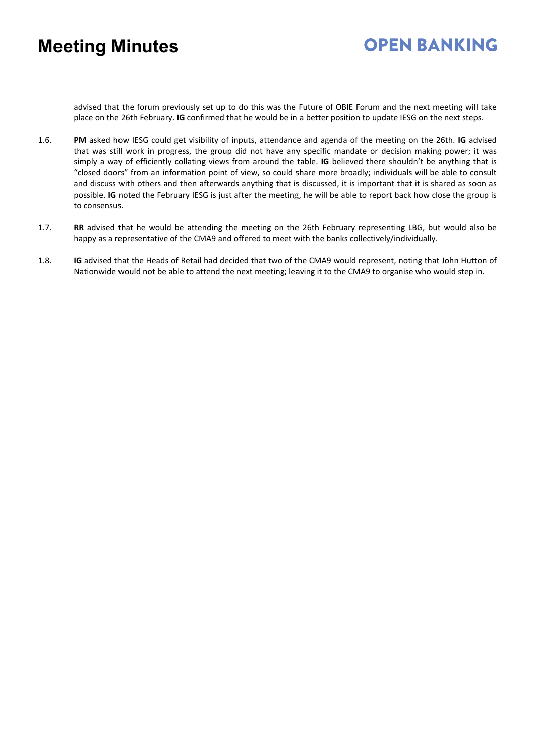advised that the forum previously set up to do this was the Future of OBIE Forum and the next meeting will take place on the 26th February. **IG** confirmed that he would be in a better position to update IESG on the next steps.

- 1.6. **PM** asked how IESG could get visibility of inputs, attendance and agenda of the meeting on the 26th. **IG** advised that was still work in progress, the group did not have any specific mandate or decision making power; it was simply a way of efficiently collating views from around the table. **IG** believed there shouldn't be anything that is "closed doors" from an information point of view, so could share more broadly; individuals will be able to consult and discuss with others and then afterwards anything that is discussed, it is important that it is shared as soon as possible. **IG** noted the February IESG is just after the meeting, he will be able to report back how close the group is to consensus.
- 1.7. **RR** advised that he would be attending the meeting on the 26th February representing LBG, but would also be happy as a representative of the CMA9 and offered to meet with the banks collectively/individually.
- 1.8. **IG** advised that the Heads of Retail had decided that two of the CMA9 would represent, noting that John Hutton of Nationwide would not be able to attend the next meeting; leaving it to the CMA9 to organise who would step in.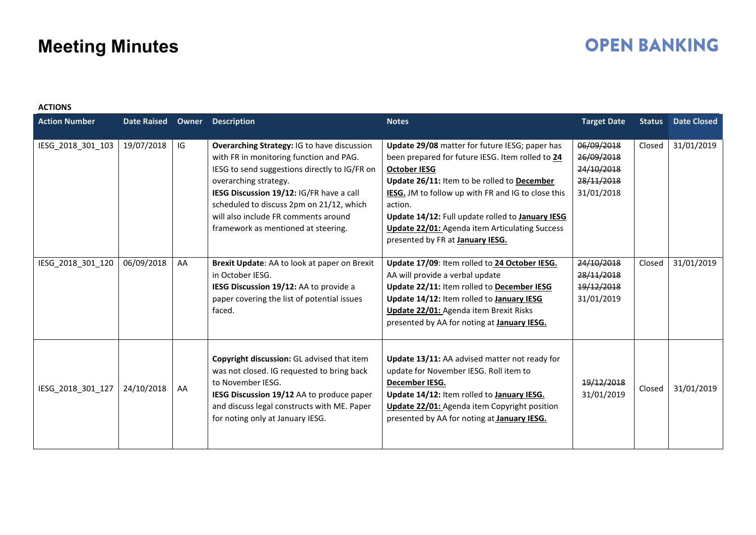## **OPEN BANKING**

| <b>ACTIONS</b>       |                    |       |                                                                                                                                                                                                                                                                                                                                                |                                                                                                                                                                                                                                                                                                                                                                                                   |                                                                    |               |                    |
|----------------------|--------------------|-------|------------------------------------------------------------------------------------------------------------------------------------------------------------------------------------------------------------------------------------------------------------------------------------------------------------------------------------------------|---------------------------------------------------------------------------------------------------------------------------------------------------------------------------------------------------------------------------------------------------------------------------------------------------------------------------------------------------------------------------------------------------|--------------------------------------------------------------------|---------------|--------------------|
| <b>Action Number</b> | <b>Date Raised</b> | Owner | <b>Description</b>                                                                                                                                                                                                                                                                                                                             | <b>Notes</b>                                                                                                                                                                                                                                                                                                                                                                                      | <b>Target Date</b>                                                 | <b>Status</b> | <b>Date Closed</b> |
| IESG_2018_301_103    | 19/07/2018         | IG    | <b>Overarching Strategy: IG to have discussion</b><br>with FR in monitoring function and PAG.<br>IESG to send suggestions directly to IG/FR on<br>overarching strategy.<br>IESG Discussion 19/12: IG/FR have a call<br>scheduled to discuss 2pm on 21/12, which<br>will also include FR comments around<br>framework as mentioned at steering. | Update 29/08 matter for future IESG; paper has<br>been prepared for future IESG. Item rolled to 24<br><b>October IESG</b><br>Update 26/11: Item to be rolled to December<br>IESG. JM to follow up with FR and IG to close this<br>action.<br>Update 14/12: Full update rolled to January IESG<br><b>Update 22/01:</b> Agenda item Articulating Success<br>presented by FR at <b>January IESG.</b> | 06/09/2018<br>26/09/2018<br>24/10/2018<br>28/11/2018<br>31/01/2018 | Closed        | 31/01/2019         |
| IESG_2018_301_120    | 06/09/2018         | AA    | Brexit Update: AA to look at paper on Brexit<br>in October IESG.<br>IESG Discussion 19/12: AA to provide a<br>paper covering the list of potential issues<br>faced.                                                                                                                                                                            | Update 17/09: Item rolled to 24 October IESG.<br>AA will provide a verbal update<br>Update 22/11: Item rolled to December IESG<br>Update 14/12: Item rolled to January IESG<br>Update 22/01: Agenda item Brexit Risks<br>presented by AA for noting at <b>January IESG.</b>                                                                                                                       | 24/10/2018<br>28/11/2018<br>19/12/2018<br>31/01/2019               | Closed        | 31/01/2019         |
| IESG_2018_301_127    | 24/10/2018         | AA    | Copyright discussion: GL advised that item<br>was not closed. IG requested to bring back<br>to November IESG.<br>IESG Discussion 19/12 AA to produce paper<br>and discuss legal constructs with ME. Paper<br>for noting only at January IESG.                                                                                                  | Update 13/11: AA advised matter not ready for<br>update for November IESG. Roll item to<br>December IESG.<br>Update 14/12: Item rolled to January IESG.<br><b>Update 22/01:</b> Agenda item Copyright position<br>presented by AA for noting at January IESG.                                                                                                                                     | 19/12/2018<br>31/01/2019                                           | Closed        | 31/01/2019         |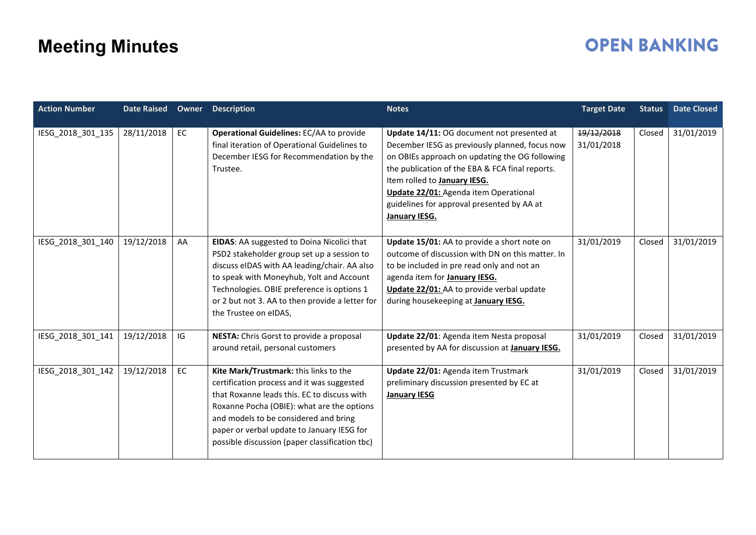## **OPEN BANKING**

| <b>Action Number</b> |            |    | Date Raised Owner Description                                                                                                                                                                                                                                                                                              | <b>Notes</b>                                                                                                                                                                                                                                                                                                                              | <b>Target Date</b>       | <b>Status</b> | <b>Date Closed</b> |
|----------------------|------------|----|----------------------------------------------------------------------------------------------------------------------------------------------------------------------------------------------------------------------------------------------------------------------------------------------------------------------------|-------------------------------------------------------------------------------------------------------------------------------------------------------------------------------------------------------------------------------------------------------------------------------------------------------------------------------------------|--------------------------|---------------|--------------------|
| IESG_2018_301_135    | 28/11/2018 | EC | <b>Operational Guidelines: EC/AA to provide</b><br>final iteration of Operational Guidelines to<br>December IESG for Recommendation by the<br>Trustee.                                                                                                                                                                     | Update 14/11: OG document not presented at<br>December IESG as previously planned, focus now<br>on OBIEs approach on updating the OG following<br>the publication of the EBA & FCA final reports.<br>Item rolled to January IESG.<br>Update 22/01: Agenda item Operational<br>guidelines for approval presented by AA at<br>January IESG. | 19/12/2018<br>31/01/2018 | Closed        | 31/01/2019         |
| IESG 2018 301 140    | 19/12/2018 | AA | EIDAS: AA suggested to Doina Nicolici that<br>PSD2 stakeholder group set up a session to<br>discuss eIDAS with AA leading/chair. AA also<br>to speak with Moneyhub, Yolt and Account<br>Technologies. OBIE preference is options 1<br>or 2 but not 3. AA to then provide a letter for<br>the Trustee on eIDAS,             | Update 15/01: AA to provide a short note on<br>outcome of discussion with DN on this matter. In<br>to be included in pre read only and not an<br>agenda item for January IESG.<br>Update 22/01: AA to provide verbal update<br>during housekeeping at January IESG.                                                                       | 31/01/2019               | Closed        | 31/01/2019         |
| IESG_2018_301_141    | 19/12/2018 | IG | NESTA: Chris Gorst to provide a proposal<br>around retail, personal customers                                                                                                                                                                                                                                              | Update 22/01: Agenda item Nesta proposal<br>presented by AA for discussion at <b>January IESG.</b>                                                                                                                                                                                                                                        | 31/01/2019               | Closed        | 31/01/2019         |
| IESG_2018_301_142    | 19/12/2018 | EC | Kite Mark/Trustmark: this links to the<br>certification process and it was suggested<br>that Roxanne leads this. EC to discuss with<br>Roxanne Pocha (OBIE): what are the options<br>and models to be considered and bring<br>paper or verbal update to January IESG for<br>possible discussion (paper classification tbc) | Update 22/01: Agenda item Trustmark<br>preliminary discussion presented by EC at<br><b>January IESG</b>                                                                                                                                                                                                                                   | 31/01/2019               | Closed        | 31/01/2019         |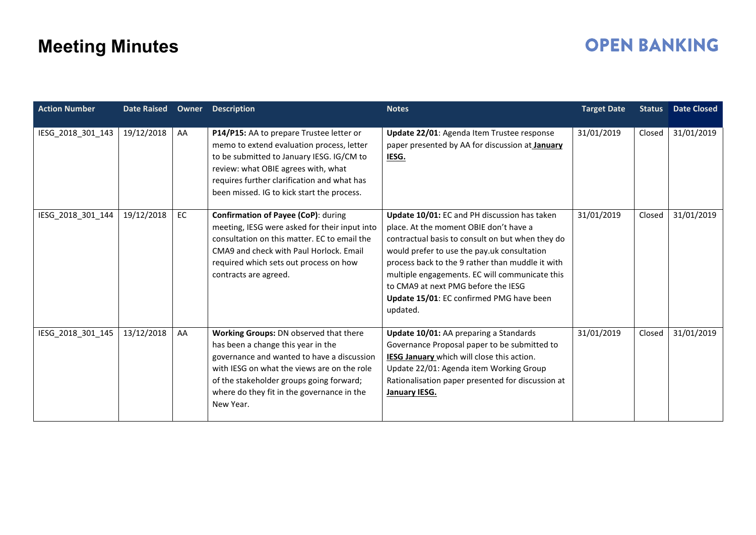## **OPEN BANKING**

| <b>Action Number</b> |            |    | Date Raised Owner Description                                                                                                                                                                                                                                                    | <b>Notes</b>                                                                                                                                                                                                                                                                                                                                                                                   | <b>Target Date</b> | <b>Status</b> | <b>Date Closed</b> |
|----------------------|------------|----|----------------------------------------------------------------------------------------------------------------------------------------------------------------------------------------------------------------------------------------------------------------------------------|------------------------------------------------------------------------------------------------------------------------------------------------------------------------------------------------------------------------------------------------------------------------------------------------------------------------------------------------------------------------------------------------|--------------------|---------------|--------------------|
| IESG_2018_301_143    | 19/12/2018 | AA | P14/P15: AA to prepare Trustee letter or<br>memo to extend evaluation process, letter<br>to be submitted to January IESG. IG/CM to<br>review: what OBIE agrees with, what<br>requires further clarification and what has<br>been missed. IG to kick start the process.           | Update 22/01: Agenda Item Trustee response<br>paper presented by AA for discussion at January<br>IESG.                                                                                                                                                                                                                                                                                         | 31/01/2019         | Closed        | 31/01/2019         |
| IESG_2018_301_144    | 19/12/2018 | EC | Confirmation of Payee (CoP): during<br>meeting, IESG were asked for their input into<br>consultation on this matter. EC to email the<br>CMA9 and check with Paul Horlock, Email<br>required which sets out process on how<br>contracts are agreed.                               | Update 10/01: EC and PH discussion has taken<br>place. At the moment OBIE don't have a<br>contractual basis to consult on but when they do<br>would prefer to use the pay.uk consultation<br>process back to the 9 rather than muddle it with<br>multiple engagements. EC will communicate this<br>to CMA9 at next PMG before the IESG<br>Update 15/01: EC confirmed PMG have been<br>updated. | 31/01/2019         | Closed        | 31/01/2019         |
| IESG 2018 301 145    | 13/12/2018 | AA | Working Groups: DN observed that there<br>has been a change this year in the<br>governance and wanted to have a discussion<br>with IESG on what the views are on the role<br>of the stakeholder groups going forward;<br>where do they fit in the governance in the<br>New Year. | Update 10/01: AA preparing a Standards<br>Governance Proposal paper to be submitted to<br>IESG January which will close this action.<br>Update 22/01: Agenda item Working Group<br>Rationalisation paper presented for discussion at<br>January IESG.                                                                                                                                          | 31/01/2019         | Closed        | 31/01/2019         |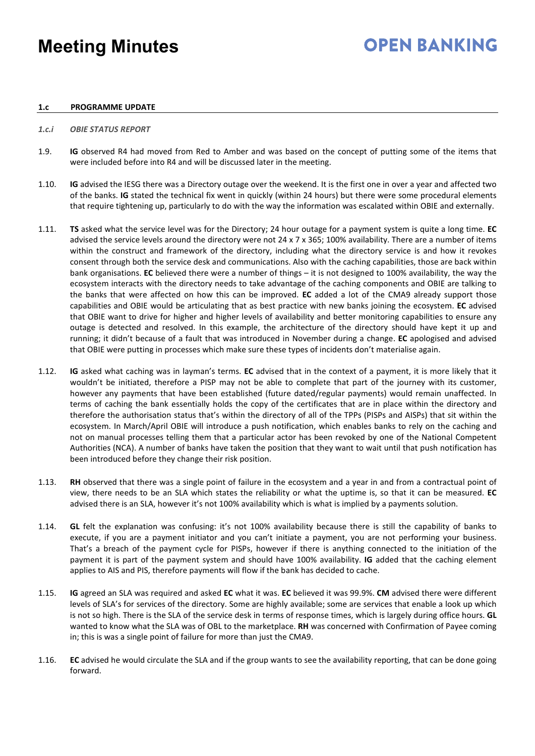## **OPEN BANKING**

### **1.c PROGRAMME UPDATE**

### *1.c.i OBIE STATUS REPORT*

- 1.9. **IG** observed R4 had moved from Red to Amber and was based on the concept of putting some of the items that were included before into R4 and will be discussed later in the meeting.
- 1.10. **IG** advised the IESG there was a Directory outage over the weekend. It is the first one in over a year and affected two of the banks. **IG** stated the technical fix went in quickly (within 24 hours) but there were some procedural elements that require tightening up, particularly to do with the way the information was escalated within OBIE and externally.
- 1.11. **TS** asked what the service level was for the Directory; 24 hour outage for a payment system is quite a long time. **EC** advised the service levels around the directory were not 24 x 7 x 365; 100% availability. There are a number of items within the construct and framework of the directory, including what the directory service is and how it revokes consent through both the service desk and communications. Also with the caching capabilities, those are back within bank organisations. **EC** believed there were a number of things – it is not designed to 100% availability, the way the ecosystem interacts with the directory needs to take advantage of the caching components and OBIE are talking to the banks that were affected on how this can be improved. **EC** added a lot of the CMA9 already support those capabilities and OBIE would be articulating that as best practice with new banks joining the ecosystem. **EC** advised that OBIE want to drive for higher and higher levels of availability and better monitoring capabilities to ensure any outage is detected and resolved. In this example, the architecture of the directory should have kept it up and running; it didn't because of a fault that was introduced in November during a change. **EC** apologised and advised that OBIE were putting in processes which make sure these types of incidents don't materialise again.
- 1.12. **IG** asked what caching was in layman's terms. **EC** advised that in the context of a payment, it is more likely that it wouldn't be initiated, therefore a PISP may not be able to complete that part of the journey with its customer, however any payments that have been established (future dated/regular payments) would remain unaffected. In terms of caching the bank essentially holds the copy of the certificates that are in place within the directory and therefore the authorisation status that's within the directory of all of the TPPs (PISPs and AISPs) that sit within the ecosystem. In March/April OBIE will introduce a push notification, which enables banks to rely on the caching and not on manual processes telling them that a particular actor has been revoked by one of the National Competent Authorities (NCA). A number of banks have taken the position that they want to wait until that push notification has been introduced before they change their risk position.
- 1.13. **RH** observed that there was a single point of failure in the ecosystem and a year in and from a contractual point of view, there needs to be an SLA which states the reliability or what the uptime is, so that it can be measured. **EC** advised there is an SLA, however it's not 100% availability which is what is implied by a payments solution.
- 1.14. **GL** felt the explanation was confusing: it's not 100% availability because there is still the capability of banks to execute, if you are a payment initiator and you can't initiate a payment, you are not performing your business. That's a breach of the payment cycle for PISPs, however if there is anything connected to the initiation of the payment it is part of the payment system and should have 100% availability. **IG** added that the caching element applies to AIS and PIS, therefore payments will flow if the bank has decided to cache.
- 1.15. **IG** agreed an SLA was required and asked **EC** what it was. **EC** believed it was 99.9%. **CM** advised there were different levels of SLA's for services of the directory. Some are highly available; some are services that enable a look up which is not so high. There is the SLA of the service desk in terms of response times, which is largely during office hours. **GL** wanted to know what the SLA was of OBL to the marketplace. **RH** was concerned with Confirmation of Payee coming in; this is was a single point of failure for more than just the CMA9.
- 1.16. **EC** advised he would circulate the SLA and if the group wants to see the availability reporting, that can be done going forward.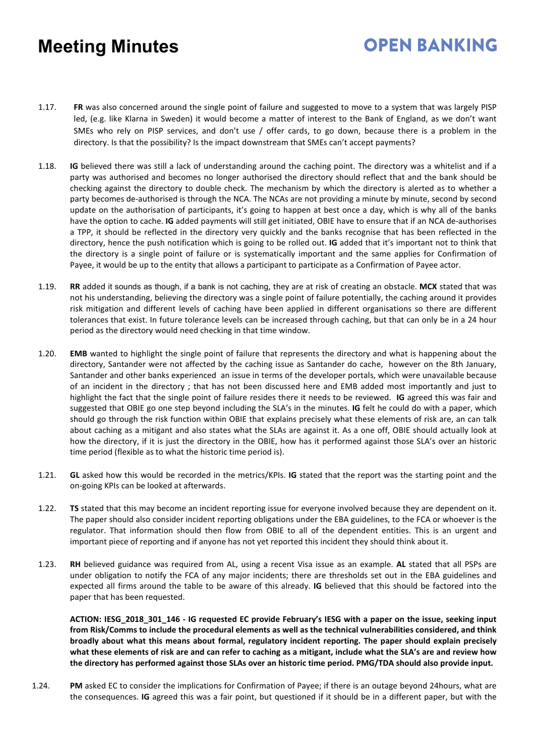## **OPEN BANKING**

- 1.17. **FR** was also concerned around the single point of failure and suggested to move to a system that was largely PISP led, (e.g. like Klarna in Sweden) it would become a matter of interest to the Bank of England, as we don't want SMEs who rely on PISP services, and don't use / offer cards, to go down, because there is a problem in the directory. Is that the possibility? Is the impact downstream that SMEs can't accept payments?
- 1.18. **IG** believed there was still a lack of understanding around the caching point. The directory was a whitelist and if a party was authorised and becomes no longer authorised the directory should reflect that and the bank should be checking against the directory to double check. The mechanism by which the directory is alerted as to whether a party becomes de-authorised is through the NCA. The NCAs are not providing a minute by minute, second by second update on the authorisation of participants, it's going to happen at best once a day, which is why all of the banks have the option to cache. **IG** added payments will still get initiated, OBIE have to ensure that if an NCA de-authorises a TPP, it should be reflected in the directory very quickly and the banks recognise that has been reflected in the directory, hence the push notification which is going to be rolled out. **IG** added that it's important not to think that the directory is a single point of failure or is systematically important and the same applies for Confirmation of Payee, it would be up to the entity that allows a participant to participate as a Confirmation of Payee actor.
- 1.19. **RR** added it sounds as though, if a bank is not caching, they are at risk of creating an obstacle. **MCX** stated that was not his understanding, believing the directory was a single point of failure potentially, the caching around it provides risk mitigation and different levels of caching have been applied in different organisations so there are different tolerances that exist. In future tolerance levels can be increased through caching, but that can only be in a 24 hour period as the directory would need checking in that time window.
- 1.20. **EMB** wanted to highlight the single point of failure that represents the directory and what is happening about the directory, Santander were not affected by the caching issue as Santander do cache, however on the 8th January, Santander and other banks experienced an issue in terms of the developer portals, which were unavailable because of an incident in the directory ; that has not been discussed here and EMB added most importantly and just to highlight the fact that the single point of failure resides there it needs to be reviewed. **IG** agreed this was fair and suggested that OBIE go one step beyond including the SLA's in the minutes. **IG** felt he could do with a paper, which should go through the risk function within OBIE that explains precisely what these elements of risk are, an can talk about caching as a mitigant and also states what the SLAs are against it. As a one off, OBIE should actually look at how the directory, if it is just the directory in the OBIE, how has it performed against those SLA's over an historic time period (flexible as to what the historic time period is).
- 1.21. **GL** asked how this would be recorded in the metrics/KPIs. **IG** stated that the report was the starting point and the on-going KPIs can be looked at afterwards.
- 1.22. **TS** stated that this may become an incident reporting issue for everyone involved because they are dependent on it. The paper should also consider incident reporting obligations under the EBA guidelines, to the FCA or whoever is the regulator. That information should then flow from OBIE to all of the dependent entities. This is an urgent and important piece of reporting and if anyone has not yet reported this incident they should think about it.
- 1.23. **RH** believed guidance was required from AL, using a recent Visa issue as an example. **AL** stated that all PSPs are under obligation to notify the FCA of any major incidents; there are thresholds set out in the EBA guidelines and expected all firms around the table to be aware of this already. **IG** believed that this should be factored into the paper that has been requested.

**ACTION: IESG\_2018\_301\_146 - IG requested EC provide February's IESG with a paper on the issue, seeking input from Risk/Comms to include the procedural elements as well as the technical vulnerabilities considered, and think broadly about what this means about formal, regulatory incident reporting. The paper should explain precisely what these elements of risk are and can refer to caching as a mitigant, include what the SLA's are and review how the directory has performed against those SLAs over an historic time period. PMG/TDA should also provide input.**

1.24. **PM** asked EC to consider the implications for Confirmation of Payee; if there is an outage beyond 24hours, what are the consequences. **IG** agreed this was a fair point, but questioned if it should be in a different paper, but with the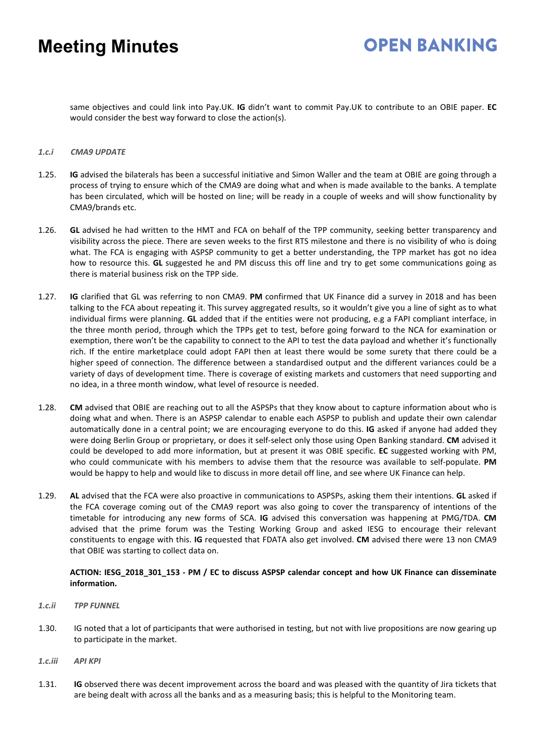## **OPEN BANKING**

same objectives and could link into Pay.UK. **IG** didn't want to commit Pay.UK to contribute to an OBIE paper. **EC** would consider the best way forward to close the action(s).

#### *1.c.i CMA9 UPDATE*

- 1.25. **IG** advised the bilaterals has been a successful initiative and Simon Waller and the team at OBIE are going through a process of trying to ensure which of the CMA9 are doing what and when is made available to the banks. A template has been circulated, which will be hosted on line; will be ready in a couple of weeks and will show functionality by CMA9/brands etc.
- 1.26. **GL** advised he had written to the HMT and FCA on behalf of the TPP community, seeking better transparency and visibility across the piece. There are seven weeks to the first RTS milestone and there is no visibility of who is doing what. The FCA is engaging with ASPSP community to get a better understanding, the TPP market has got no idea how to resource this. **GL** suggested he and PM discuss this off line and try to get some communications going as there is material business risk on the TPP side.
- 1.27. **IG** clarified that GL was referring to non CMA9. **PM** confirmed that UK Finance did a survey in 2018 and has been talking to the FCA about repeating it. This survey aggregated results, so it wouldn't give you a line of sight as to what individual firms were planning. **GL** added that if the entities were not producing, e.g a FAPI compliant interface, in the three month period, through which the TPPs get to test, before going forward to the NCA for examination or exemption, there won't be the capability to connect to the API to test the data payload and whether it's functionally rich. If the entire marketplace could adopt FAPI then at least there would be some surety that there could be a higher speed of connection. The difference between a standardised output and the different variances could be a variety of days of development time. There is coverage of existing markets and customers that need supporting and no idea, in a three month window, what level of resource is needed.
- 1.28. **CM** advised that OBIE are reaching out to all the ASPSPs that they know about to capture information about who is doing what and when. There is an ASPSP calendar to enable each ASPSP to publish and update their own calendar automatically done in a central point; we are encouraging everyone to do this. **IG** asked if anyone had added they were doing Berlin Group or proprietary, or does it self-select only those using Open Banking standard. **CM** advised it could be developed to add more information, but at present it was OBIE specific. **EC** suggested working with PM, who could communicate with his members to advise them that the resource was available to self-populate. **PM** would be happy to help and would like to discuss in more detail off line, and see where UK Finance can help.
- 1.29. **AL** advised that the FCA were also proactive in communications to ASPSPs, asking them their intentions. **GL** asked if the FCA coverage coming out of the CMA9 report was also going to cover the transparency of intentions of the timetable for introducing any new forms of SCA. **IG** advised this conversation was happening at PMG/TDA. **CM** advised that the prime forum was the Testing Working Group and asked IESG to encourage their relevant constituents to engage with this. **IG** requested that FDATA also get involved. **CM** advised there were 13 non CMA9 that OBIE was starting to collect data on.

### **ACTION: IESG\_2018\_301\_153 - PM / EC to discuss ASPSP calendar concept and how UK Finance can disseminate information.**

- *1.c.ii TPP FUNNEL*
- 1.30. IG noted that a lot of participants that were authorised in testing, but not with live propositions are now gearing up to participate in the market.
- *1.c.iii API KPI*
- 1.31. **IG** observed there was decent improvement across the board and was pleased with the quantity of Jira tickets that are being dealt with across all the banks and as a measuring basis; this is helpful to the Monitoring team.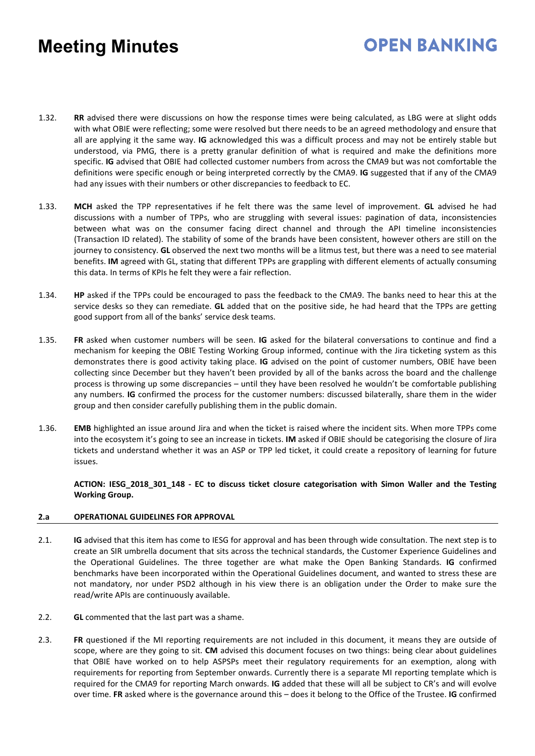## **OPEN BANKING**

- 1.32. **RR** advised there were discussions on how the response times were being calculated, as LBG were at slight odds with what OBIE were reflecting; some were resolved but there needs to be an agreed methodology and ensure that all are applying it the same way. **IG** acknowledged this was a difficult process and may not be entirely stable but understood, via PMG, there is a pretty granular definition of what is required and make the definitions more specific. **IG** advised that OBIE had collected customer numbers from across the CMA9 but was not comfortable the definitions were specific enough or being interpreted correctly by the CMA9. **IG** suggested that if any of the CMA9 had any issues with their numbers or other discrepancies to feedback to EC.
- 1.33. **MCH** asked the TPP representatives if he felt there was the same level of improvement. **GL** advised he had discussions with a number of TPPs, who are struggling with several issues: pagination of data, inconsistencies between what was on the consumer facing direct channel and through the API timeline inconsistencies (Transaction ID related). The stability of some of the brands have been consistent, however others are still on the journey to consistency. **GL** observed the next two months will be a litmus test, but there was a need to see material benefits. **IM** agreed with GL, stating that different TPPs are grappling with different elements of actually consuming this data. In terms of KPIs he felt they were a fair reflection.
- 1.34. **HP** asked if the TPPs could be encouraged to pass the feedback to the CMA9. The banks need to hear this at the service desks so they can remediate. **GL** added that on the positive side, he had heard that the TPPs are getting good support from all of the banks' service desk teams.
- 1.35. **FR** asked when customer numbers will be seen. **IG** asked for the bilateral conversations to continue and find a mechanism for keeping the OBIE Testing Working Group informed, continue with the Jira ticketing system as this demonstrates there is good activity taking place. **IG** advised on the point of customer numbers, OBIE have been collecting since December but they haven't been provided by all of the banks across the board and the challenge process is throwing up some discrepancies – until they have been resolved he wouldn't be comfortable publishing any numbers. **IG** confirmed the process for the customer numbers: discussed bilaterally, share them in the wider group and then consider carefully publishing them in the public domain.
- 1.36. **EMB** highlighted an issue around Jira and when the ticket is raised where the incident sits. When more TPPs come into the ecosystem it's going to see an increase in tickets. **IM** asked if OBIE should be categorising the closure of Jira tickets and understand whether it was an ASP or TPP led ticket, it could create a repository of learning for future issues.

**ACTION: IESG\_2018\_301\_148 - EC to discuss ticket closure categorisation with Simon Waller and the Testing Working Group.**

### **2.a OPERATIONAL GUIDELINES FOR APPROVAL**

- 2.1. **IG** advised that this item has come to IESG for approval and has been through wide consultation. The next step is to create an SIR umbrella document that sits across the technical standards, the Customer Experience Guidelines and the Operational Guidelines. The three together are what make the Open Banking Standards. **IG** confirmed benchmarks have been incorporated within the Operational Guidelines document, and wanted to stress these are not mandatory, nor under PSD2 although in his view there is an obligation under the Order to make sure the read/write APIs are continuously available.
- 2.2. **GL** commented that the last part was a shame.
- 2.3. **FR** questioned if the MI reporting requirements are not included in this document, it means they are outside of scope, where are they going to sit. **CM** advised this document focuses on two things: being clear about guidelines that OBIE have worked on to help ASPSPs meet their regulatory requirements for an exemption, along with requirements for reporting from September onwards. Currently there is a separate MI reporting template which is required for the CMA9 for reporting March onwards. **IG** added that these will all be subject to CR's and will evolve over time. **FR** asked where is the governance around this – does it belong to the Office of the Trustee. **IG** confirmed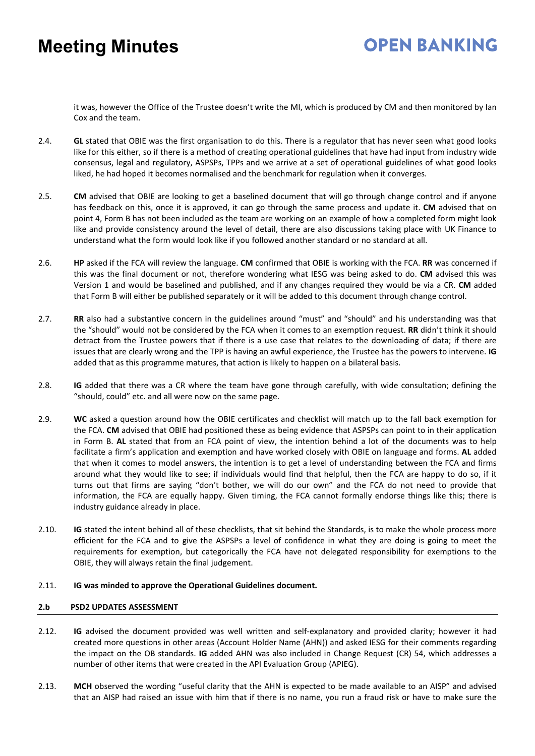## **OPEN BANKING**

it was, however the Office of the Trustee doesn't write the MI, which is produced by CM and then monitored by Ian Cox and the team.

- 2.4. **GL** stated that OBIE was the first organisation to do this. There is a regulator that has never seen what good looks like for this either, so if there is a method of creating operational guidelines that have had input from industry wide consensus, legal and regulatory, ASPSPs, TPPs and we arrive at a set of operational guidelines of what good looks liked, he had hoped it becomes normalised and the benchmark for regulation when it converges.
- 2.5. **CM** advised that OBIE are looking to get a baselined document that will go through change control and if anyone has feedback on this, once it is approved, it can go through the same process and update it. **CM** advised that on point 4, Form B has not been included as the team are working on an example of how a completed form might look like and provide consistency around the level of detail, there are also discussions taking place with UK Finance to understand what the form would look like if you followed another standard or no standard at all.
- 2.6. **HP** asked if the FCA will review the language. **CM** confirmed that OBIE is working with the FCA. **RR** was concerned if this was the final document or not, therefore wondering what IESG was being asked to do. **CM** advised this was Version 1 and would be baselined and published, and if any changes required they would be via a CR. **CM** added that Form B will either be published separately or it will be added to this document through change control.
- 2.7. **RR** also had a substantive concern in the guidelines around "must" and "should" and his understanding was that the "should" would not be considered by the FCA when it comes to an exemption request. **RR** didn't think it should detract from the Trustee powers that if there is a use case that relates to the downloading of data; if there are issues that are clearly wrong and the TPP is having an awful experience, the Trustee has the powers to intervene. **IG** added that as this programme matures, that action is likely to happen on a bilateral basis.
- 2.8. **IG** added that there was a CR where the team have gone through carefully, with wide consultation; defining the "should, could" etc. and all were now on the same page.
- 2.9. **WC** asked a question around how the OBIE certificates and checklist will match up to the fall back exemption for the FCA. **CM** advised that OBIE had positioned these as being evidence that ASPSPs can point to in their application in Form B. **AL** stated that from an FCA point of view, the intention behind a lot of the documents was to help facilitate a firm's application and exemption and have worked closely with OBIE on language and forms. **AL** added that when it comes to model answers, the intention is to get a level of understanding between the FCA and firms around what they would like to see; if individuals would find that helpful, then the FCA are happy to do so, if it turns out that firms are saying "don't bother, we will do our own" and the FCA do not need to provide that information, the FCA are equally happy. Given timing, the FCA cannot formally endorse things like this; there is industry guidance already in place.
- 2.10. **IG** stated the intent behind all of these checklists, that sit behind the Standards, is to make the whole process more efficient for the FCA and to give the ASPSPs a level of confidence in what they are doing is going to meet the requirements for exemption, but categorically the FCA have not delegated responsibility for exemptions to the OBIE, they will always retain the final judgement.

### 2.11. **IG was minded to approve the Operational Guidelines document.**

### **2.b PSD2 UPDATES ASSESSMENT**

- 2.12. **IG** advised the document provided was well written and self-explanatory and provided clarity; however it had created more questions in other areas (Account Holder Name (AHN)) and asked IESG for their comments regarding the impact on the OB standards. **IG** added AHN was also included in Change Request (CR) 54, which addresses a number of other items that were created in the API Evaluation Group (APIEG).
- 2.13. **MCH** observed the wording "useful clarity that the AHN is expected to be made available to an AISP" and advised that an AISP had raised an issue with him that if there is no name, you run a fraud risk or have to make sure the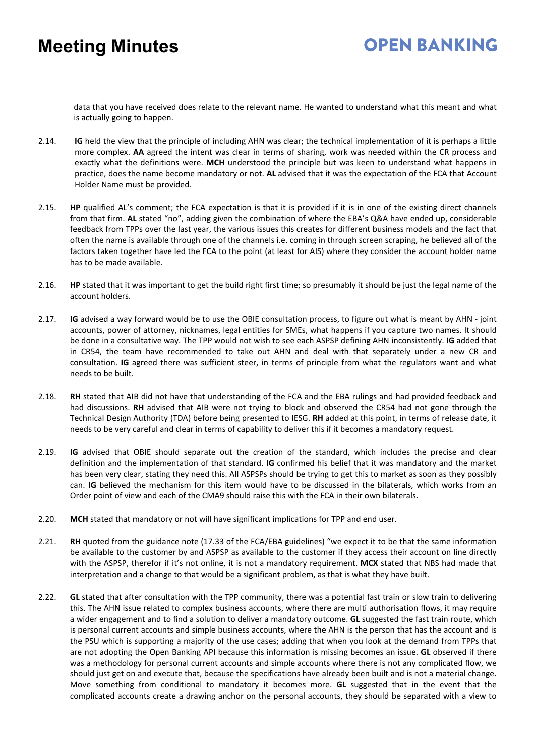## **OPEN BANKING**

data that you have received does relate to the relevant name. He wanted to understand what this meant and what is actually going to happen.

- 2.14. **IG** held the view that the principle of including AHN was clear; the technical implementation of it is perhaps a little more complex. **AA** agreed the intent was clear in terms of sharing, work was needed within the CR process and exactly what the definitions were. **MCH** understood the principle but was keen to understand what happens in practice, does the name become mandatory or not. **AL** advised that it was the expectation of the FCA that Account Holder Name must be provided.
- 2.15. **HP** qualified AL's comment; the FCA expectation is that it is provided if it is in one of the existing direct channels from that firm. **AL** stated "no", adding given the combination of where the EBA's Q&A have ended up, considerable feedback from TPPs over the last year, the various issues this creates for different business models and the fact that often the name is available through one of the channels i.e. coming in through screen scraping, he believed all of the factors taken together have led the FCA to the point (at least for AIS) where they consider the account holder name has to be made available.
- 2.16. **HP** stated that it was important to get the build right first time; so presumably it should be just the legal name of the account holders.
- 2.17. **IG** advised a way forward would be to use the OBIE consultation process, to figure out what is meant by AHN joint accounts, power of attorney, nicknames, legal entities for SMEs, what happens if you capture two names. It should be done in a consultative way. The TPP would not wish to see each ASPSP defining AHN inconsistently. **IG** added that in CR54, the team have recommended to take out AHN and deal with that separately under a new CR and consultation. **IG** agreed there was sufficient steer, in terms of principle from what the regulators want and what needs to be built.
- 2.18. **RH** stated that AIB did not have that understanding of the FCA and the EBA rulings and had provided feedback and had discussions. **RH** advised that AIB were not trying to block and observed the CR54 had not gone through the Technical Design Authority (TDA) before being presented to IESG. **RH** added at this point, in terms of release date, it needs to be very careful and clear in terms of capability to deliver this if it becomes a mandatory request.
- 2.19. **IG** advised that OBIE should separate out the creation of the standard, which includes the precise and clear definition and the implementation of that standard. **IG** confirmed his belief that it was mandatory and the market has been very clear, stating they need this. All ASPSPs should be trying to get this to market as soon as they possibly can. **IG** believed the mechanism for this item would have to be discussed in the bilaterals, which works from an Order point of view and each of the CMA9 should raise this with the FCA in their own bilaterals.
- 2.20. **MCH** stated that mandatory or not will have significant implications for TPP and end user.
- 2.21. **RH** quoted from the guidance note (17.33 of the FCA/EBA guidelines) "we expect it to be that the same information be available to the customer by and ASPSP as available to the customer if they access their account on line directly with the ASPSP, therefor if it's not online, it is not a mandatory requirement. **MCX** stated that NBS had made that interpretation and a change to that would be a significant problem, as that is what they have built.
- 2.22. **GL** stated that after consultation with the TPP community, there was a potential fast train or slow train to delivering this. The AHN issue related to complex business accounts, where there are multi authorisation flows, it may require a wider engagement and to find a solution to deliver a mandatory outcome. **GL** suggested the fast train route, which is personal current accounts and simple business accounts, where the AHN is the person that has the account and is the PSU which is supporting a majority of the use cases; adding that when you look at the demand from TPPs that are not adopting the Open Banking API because this information is missing becomes an issue. **GL** observed if there was a methodology for personal current accounts and simple accounts where there is not any complicated flow, we should just get on and execute that, because the specifications have already been built and is not a material change. Move something from conditional to mandatory it becomes more. **GL** suggested that in the event that the complicated accounts create a drawing anchor on the personal accounts, they should be separated with a view to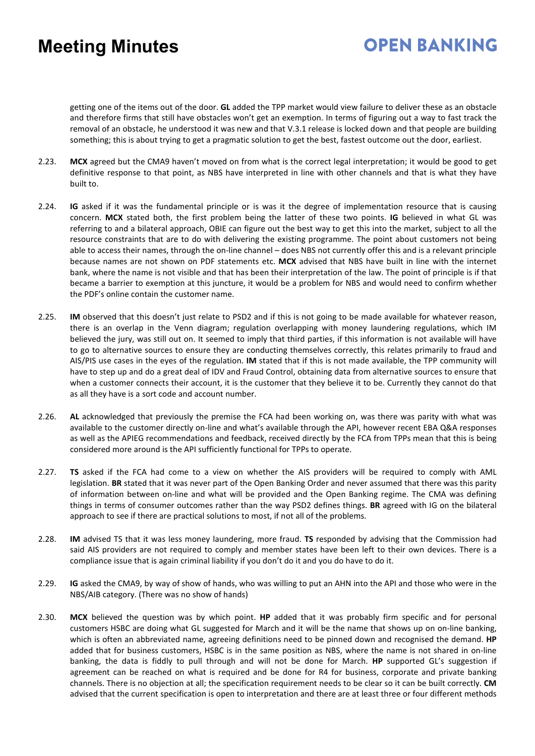## **OPEN BANKING**

getting one of the items out of the door. **GL** added the TPP market would view failure to deliver these as an obstacle and therefore firms that still have obstacles won't get an exemption. In terms of figuring out a way to fast track the removal of an obstacle, he understood it was new and that V.3.1 release is locked down and that people are building something; this is about trying to get a pragmatic solution to get the best, fastest outcome out the door, earliest.

- 2.23. **MCX** agreed but the CMA9 haven't moved on from what is the correct legal interpretation; it would be good to get definitive response to that point, as NBS have interpreted in line with other channels and that is what they have built to.
- 2.24. **IG** asked if it was the fundamental principle or is was it the degree of implementation resource that is causing concern. **MCX** stated both, the first problem being the latter of these two points. **IG** believed in what GL was referring to and a bilateral approach, OBIE can figure out the best way to get this into the market, subject to all the resource constraints that are to do with delivering the existing programme. The point about customers not being able to access their names, through the on-line channel – does NBS not currently offer this and is a relevant principle because names are not shown on PDF statements etc. **MCX** advised that NBS have built in line with the internet bank, where the name is not visible and that has been their interpretation of the law. The point of principle is if that became a barrier to exemption at this juncture, it would be a problem for NBS and would need to confirm whether the PDF's online contain the customer name.
- 2.25. **IM** observed that this doesn't just relate to PSD2 and if this is not going to be made available for whatever reason, there is an overlap in the Venn diagram; regulation overlapping with money laundering regulations, which IM believed the jury, was still out on. It seemed to imply that third parties, if this information is not available will have to go to alternative sources to ensure they are conducting themselves correctly, this relates primarily to fraud and AIS/PIS use cases in the eyes of the regulation. **IM** stated that if this is not made available, the TPP community will have to step up and do a great deal of IDV and Fraud Control, obtaining data from alternative sources to ensure that when a customer connects their account, it is the customer that they believe it to be. Currently they cannot do that as all they have is a sort code and account number.
- 2.26. **AL** acknowledged that previously the premise the FCA had been working on, was there was parity with what was available to the customer directly on-line and what's available through the API, however recent EBA Q&A responses as well as the APIEG recommendations and feedback, received directly by the FCA from TPPs mean that this is being considered more around is the API sufficiently functional for TPPs to operate.
- 2.27. **TS** asked if the FCA had come to a view on whether the AIS providers will be required to comply with AML legislation. **BR** stated that it was never part of the Open Banking Order and never assumed that there was this parity of information between on-line and what will be provided and the Open Banking regime. The CMA was defining things in terms of consumer outcomes rather than the way PSD2 defines things. **BR** agreed with IG on the bilateral approach to see if there are practical solutions to most, if not all of the problems.
- 2.28. **IM** advised TS that it was less money laundering, more fraud. **TS** responded by advising that the Commission had said AIS providers are not required to comply and member states have been left to their own devices. There is a compliance issue that is again criminal liability if you don't do it and you do have to do it.
- 2.29. **IG** asked the CMA9, by way of show of hands, who was willing to put an AHN into the API and those who were in the NBS/AIB category. (There was no show of hands)
- 2.30. **MCX** believed the question was by which point. **HP** added that it was probably firm specific and for personal customers HSBC are doing what GL suggested for March and it will be the name that shows up on on-line banking, which is often an abbreviated name, agreeing definitions need to be pinned down and recognised the demand. **HP** added that for business customers, HSBC is in the same position as NBS, where the name is not shared in on-line banking, the data is fiddly to pull through and will not be done for March. **HP** supported GL's suggestion if agreement can be reached on what is required and be done for R4 for business, corporate and private banking channels. There is no objection at all; the specification requirement needs to be clear so it can be built correctly. **CM** advised that the current specification is open to interpretation and there are at least three or four different methods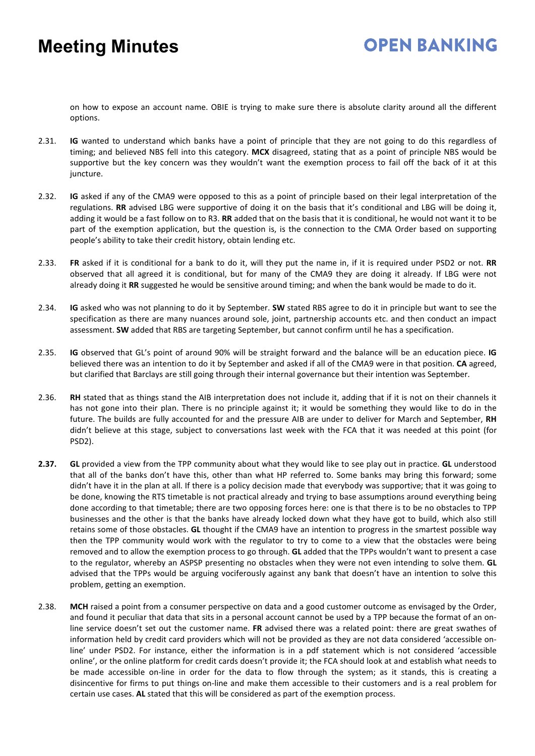### **OPEN BANKING**

on how to expose an account name. OBIE is trying to make sure there is absolute clarity around all the different options.

- 2.31. **IG** wanted to understand which banks have a point of principle that they are not going to do this regardless of timing; and believed NBS fell into this category. **MCX** disagreed, stating that as a point of principle NBS would be supportive but the key concern was they wouldn't want the exemption process to fail off the back of it at this juncture.
- 2.32. **IG** asked if any of the CMA9 were opposed to this as a point of principle based on their legal interpretation of the regulations. **RR** advised LBG were supportive of doing it on the basis that it's conditional and LBG will be doing it, adding it would be a fast follow on to R3. **RR** added that on the basis that it is conditional, he would not want it to be part of the exemption application, but the question is, is the connection to the CMA Order based on supporting people's ability to take their credit history, obtain lending etc.
- 2.33. **FR** asked if it is conditional for a bank to do it, will they put the name in, if it is required under PSD2 or not. **RR** observed that all agreed it is conditional, but for many of the CMA9 they are doing it already. If LBG were not already doing it **RR** suggested he would be sensitive around timing; and when the bank would be made to do it.
- 2.34. **IG** asked who was not planning to do it by September. **SW** stated RBS agree to do it in principle but want to see the specification as there are many nuances around sole, joint, partnership accounts etc. and then conduct an impact assessment. **SW** added that RBS are targeting September, but cannot confirm until he has a specification.
- 2.35. **IG** observed that GL's point of around 90% will be straight forward and the balance will be an education piece. **IG** believed there was an intention to do it by September and asked if all of the CMA9 were in that position. **CA** agreed, but clarified that Barclays are still going through their internal governance but their intention was September.
- 2.36. **RH** stated that as things stand the AIB interpretation does not include it, adding that if it is not on their channels it has not gone into their plan. There is no principle against it; it would be something they would like to do in the future. The builds are fully accounted for and the pressure AIB are under to deliver for March and September, **RH** didn't believe at this stage, subject to conversations last week with the FCA that it was needed at this point (for PSD2).
- **2.37. GL** provided a view from the TPP community about what they would like to see play out in practice. **GL** understood that all of the banks don't have this, other than what HP referred to. Some banks may bring this forward; some didn't have it in the plan at all. If there is a policy decision made that everybody was supportive; that it was going to be done, knowing the RTS timetable is not practical already and trying to base assumptions around everything being done according to that timetable; there are two opposing forces here: one is that there is to be no obstacles to TPP businesses and the other is that the banks have already locked down what they have got to build, which also still retains some of those obstacles. **GL** thought if the CMA9 have an intention to progress in the smartest possible way then the TPP community would work with the regulator to try to come to a view that the obstacles were being removed and to allow the exemption process to go through. **GL** added that the TPPs wouldn't want to present a case to the regulator, whereby an ASPSP presenting no obstacles when they were not even intending to solve them. **GL** advised that the TPPs would be arguing vociferously against any bank that doesn't have an intention to solve this problem, getting an exemption.
- 2.38. **MCH** raised a point from a consumer perspective on data and a good customer outcome as envisaged by the Order, and found it peculiar that data that sits in a personal account cannot be used by a TPP because the format of an online service doesn't set out the customer name. **FR** advised there was a related point: there are great swathes of information held by credit card providers which will not be provided as they are not data considered 'accessible online' under PSD2. For instance, either the information is in a pdf statement which is not considered 'accessible online', or the online platform for credit cards doesn't provide it; the FCA should look at and establish what needs to be made accessible on-line in order for the data to flow through the system; as it stands, this is creating a disincentive for firms to put things on-line and make them accessible to their customers and is a real problem for certain use cases. **AL** stated that this will be considered as part of the exemption process.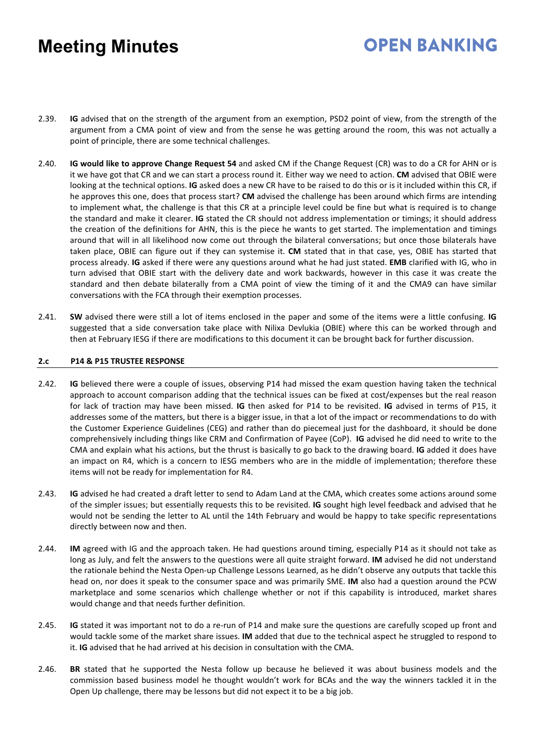## **OPEN BANKING**

- 2.39. **IG** advised that on the strength of the argument from an exemption, PSD2 point of view, from the strength of the argument from a CMA point of view and from the sense he was getting around the room, this was not actually a point of principle, there are some technical challenges.
- 2.40. **IG would like to approve Change Request 54** and asked CM if the Change Request (CR) was to do a CR for AHN or is it we have got that CR and we can start a process round it. Either way we need to action. **CM** advised that OBIE were looking at the technical options. **IG** asked does a new CR have to be raised to do this or is it included within this CR, if he approves this one, does that process start? **CM** advised the challenge has been around which firms are intending to implement what, the challenge is that this CR at a principle level could be fine but what is required is to change the standard and make it clearer. **IG** stated the CR should not address implementation or timings; it should address the creation of the definitions for AHN, this is the piece he wants to get started. The implementation and timings around that will in all likelihood now come out through the bilateral conversations; but once those bilaterals have taken place, OBIE can figure out if they can systemise it. **CM** stated that in that case, yes, OBIE has started that process already. **IG** asked if there were any questions around what he had just stated. **EMB** clarified with IG, who in turn advised that OBIE start with the delivery date and work backwards, however in this case it was create the standard and then debate bilaterally from a CMA point of view the timing of it and the CMA9 can have similar conversations with the FCA through their exemption processes.
- 2.41. **SW** advised there were still a lot of items enclosed in the paper and some of the items were a little confusing. **IG** suggested that a side conversation take place with Nilixa Devlukia (OBIE) where this can be worked through and then at February IESG if there are modifications to this document it can be brought back for further discussion.

### **2.c P14 & P15 TRUSTEE RESPONSE**

- 2.42. **IG** believed there were a couple of issues, observing P14 had missed the exam question having taken the technical approach to account comparison adding that the technical issues can be fixed at cost/expenses but the real reason for lack of traction may have been missed. **IG** then asked for P14 to be revisited. **IG** advised in terms of P15, it addresses some of the matters, but there is a bigger issue, in that a lot of the impact or recommendations to do with the Customer Experience Guidelines (CEG) and rather than do piecemeal just for the dashboard, it should be done comprehensively including things like CRM and Confirmation of Payee (CoP). **IG** advised he did need to write to the CMA and explain what his actions, but the thrust is basically to go back to the drawing board. **IG** added it does have an impact on R4, which is a concern to IESG members who are in the middle of implementation; therefore these items will not be ready for implementation for R4.
- 2.43. **IG** advised he had created a draft letter to send to Adam Land at the CMA, which creates some actions around some of the simpler issues; but essentially requests this to be revisited. **IG** sought high level feedback and advised that he would not be sending the letter to AL until the 14th February and would be happy to take specific representations directly between now and then.
- 2.44. **IM** agreed with IG and the approach taken. He had questions around timing, especially P14 as it should not take as long as July, and felt the answers to the questions were all quite straight forward. **IM** advised he did not understand the rationale behind the Nesta Open-up Challenge Lessons Learned, as he didn't observe any outputs that tackle this head on, nor does it speak to the consumer space and was primarily SME. **IM** also had a question around the PCW marketplace and some scenarios which challenge whether or not if this capability is introduced, market shares would change and that needs further definition.
- 2.45. **IG** stated it was important not to do a re-run of P14 and make sure the questions are carefully scoped up front and would tackle some of the market share issues. **IM** added that due to the technical aspect he struggled to respond to it. **IG** advised that he had arrived at his decision in consultation with the CMA.
- 2.46. **BR** stated that he supported the Nesta follow up because he believed it was about business models and the commission based business model he thought wouldn't work for BCAs and the way the winners tackled it in the Open Up challenge, there may be lessons but did not expect it to be a big job.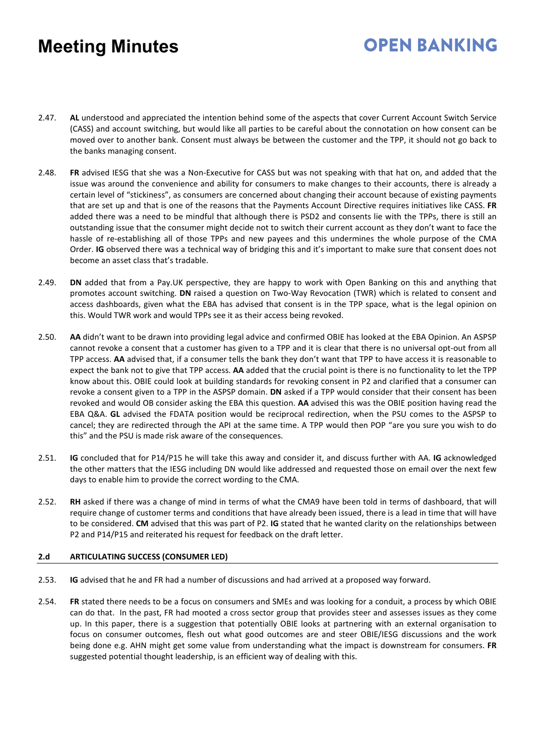# **OPEN BANKING**

- 2.47. **AL** understood and appreciated the intention behind some of the aspects that cover Current Account Switch Service (CASS) and account switching, but would like all parties to be careful about the connotation on how consent can be moved over to another bank. Consent must always be between the customer and the TPP, it should not go back to the banks managing consent.
- 2.48. **FR** advised IESG that she was a Non-Executive for CASS but was not speaking with that hat on, and added that the issue was around the convenience and ability for consumers to make changes to their accounts, there is already a certain level of "stickiness", as consumers are concerned about changing their account because of existing payments that are set up and that is one of the reasons that the Payments Account Directive requires initiatives like CASS. **FR** added there was a need to be mindful that although there is PSD2 and consents lie with the TPPs, there is still an outstanding issue that the consumer might decide not to switch their current account as they don't want to face the hassle of re-establishing all of those TPPs and new payees and this undermines the whole purpose of the CMA Order. **IG** observed there was a technical way of bridging this and it's important to make sure that consent does not become an asset class that's tradable.
- 2.49. **DN** added that from a Pay.UK perspective, they are happy to work with Open Banking on this and anything that promotes account switching. **DN** raised a question on Two-Way Revocation (TWR) which is related to consent and access dashboards, given what the EBA has advised that consent is in the TPP space, what is the legal opinion on this. Would TWR work and would TPPs see it as their access being revoked.
- 2.50. **AA** didn't want to be drawn into providing legal advice and confirmed OBIE has looked at the EBA Opinion. An ASPSP cannot revoke a consent that a customer has given to a TPP and it is clear that there is no universal opt-out from all TPP access. **AA** advised that, if a consumer tells the bank they don't want that TPP to have access it is reasonable to expect the bank not to give that TPP access. **AA** added that the crucial point is there is no functionality to let the TPP know about this. OBIE could look at building standards for revoking consent in P2 and clarified that a consumer can revoke a consent given to a TPP in the ASPSP domain. **DN** asked if a TPP would consider that their consent has been revoked and would OB consider asking the EBA this question. **AA** advised this was the OBIE position having read the EBA Q&A. **GL** advised the FDATA position would be reciprocal redirection, when the PSU comes to the ASPSP to cancel; they are redirected through the API at the same time. A TPP would then POP "are you sure you wish to do this" and the PSU is made risk aware of the consequences.
- 2.51. **IG** concluded that for P14/P15 he will take this away and consider it, and discuss further with AA. **IG** acknowledged the other matters that the IESG including DN would like addressed and requested those on email over the next few days to enable him to provide the correct wording to the CMA.
- 2.52. **RH** asked if there was a change of mind in terms of what the CMA9 have been told in terms of dashboard, that will require change of customer terms and conditions that have already been issued, there is a lead in time that will have to be considered. **CM** advised that this was part of P2. **IG** stated that he wanted clarity on the relationships between P2 and P14/P15 and reiterated his request for feedback on the draft letter.

### **2.d ARTICULATING SUCCESS (CONSUMER LED)**

- 2.53. **IG** advised that he and FR had a number of discussions and had arrived at a proposed way forward.
- 2.54. **FR** stated there needs to be a focus on consumers and SMEs and was looking for a conduit, a process by which OBIE can do that. In the past, FR had mooted a cross sector group that provides steer and assesses issues as they come up. In this paper, there is a suggestion that potentially OBIE looks at partnering with an external organisation to focus on consumer outcomes, flesh out what good outcomes are and steer OBIE/IESG discussions and the work being done e.g. AHN might get some value from understanding what the impact is downstream for consumers. **FR** suggested potential thought leadership, is an efficient way of dealing with this.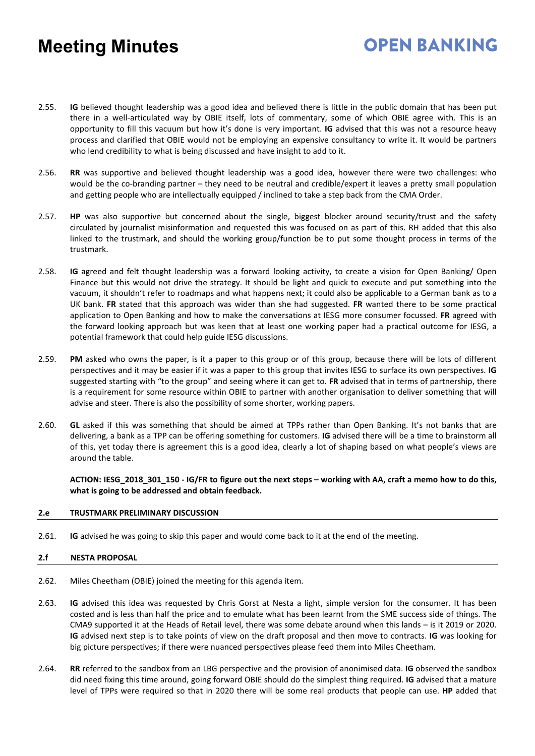## **OPEN BANKING**

- 2.55. **IG** believed thought leadership was a good idea and believed there is little in the public domain that has been put there in a well-articulated way by OBIE itself, lots of commentary, some of which OBIE agree with. This is an opportunity to fill this vacuum but how it's done is very important. **IG** advised that this was not a resource heavy process and clarified that OBIE would not be employing an expensive consultancy to write it. It would be partners who lend credibility to what is being discussed and have insight to add to it.
- 2.56. **RR** was supportive and believed thought leadership was a good idea, however there were two challenges: who would be the co-branding partner – they need to be neutral and credible/expert it leaves a pretty small population and getting people who are intellectually equipped / inclined to take a step back from the CMA Order.
- 2.57. **HP** was also supportive but concerned about the single, biggest blocker around security/trust and the safety circulated by journalist misinformation and requested this was focused on as part of this. RH added that this also linked to the trustmark, and should the working group/function be to put some thought process in terms of the trustmark.
- 2.58. **IG** agreed and felt thought leadership was a forward looking activity, to create a vision for Open Banking/ Open Finance but this would not drive the strategy. It should be light and quick to execute and put something into the vacuum, it shouldn't refer to roadmaps and what happens next; it could also be applicable to a German bank as to a UK bank. **FR** stated that this approach was wider than she had suggested. **FR** wanted there to be some practical application to Open Banking and how to make the conversations at IESG more consumer focussed. **FR** agreed with the forward looking approach but was keen that at least one working paper had a practical outcome for IESG, a potential framework that could help guide IESG discussions.
- 2.59. **PM** asked who owns the paper, is it a paper to this group or of this group, because there will be lots of different perspectives and it may be easier if it was a paper to this group that invites IESG to surface its own perspectives. **IG** suggested starting with "to the group" and seeing where it can get to. **FR** advised that in terms of partnership, there is a requirement for some resource within OBIE to partner with another organisation to deliver something that will advise and steer. There is also the possibility of some shorter, working papers.
- 2.60. **GL** asked if this was something that should be aimed at TPPs rather than Open Banking. It's not banks that are delivering, a bank as a TPP can be offering something for customers. **IG** advised there will be a time to brainstorm all of this, yet today there is agreement this is a good idea, clearly a lot of shaping based on what people's views are around the table.

**ACTION: IESG\_2018\_301\_150 - IG/FR to figure out the next steps – working with AA, craft a memo how to do this, what is going to be addressed and obtain feedback.** 

### **2.e TRUSTMARK PRELIMINARY DISCUSSION**

2.61. **IG** advised he was going to skip this paper and would come back to it at the end of the meeting.

### **2.f NESTA PROPOSAL**

- 2.62. Miles Cheetham (OBIE) joined the meeting for this agenda item.
- 2.63. **IG** advised this idea was requested by Chris Gorst at Nesta a light, simple version for the consumer. It has been costed and is less than half the price and to emulate what has been learnt from the SME success side of things. The CMA9 supported it at the Heads of Retail level, there was some debate around when this lands – is it 2019 or 2020. **IG** advised next step is to take points of view on the draft proposal and then move to contracts. **IG** was looking for big picture perspectives; if there were nuanced perspectives please feed them into Miles Cheetham.
- 2.64. **RR** referred to the sandbox from an LBG perspective and the provision of anonimised data. **IG** observed the sandbox did need fixing this time around, going forward OBIE should do the simplest thing required. **IG** advised that a mature level of TPPs were required so that in 2020 there will be some real products that people can use. **HP** added that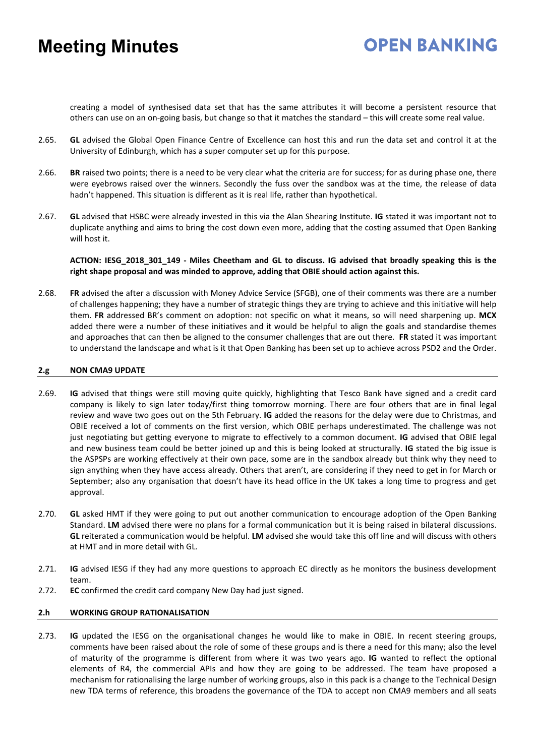## **OPEN BANKING**

creating a model of synthesised data set that has the same attributes it will become a persistent resource that others can use on an on-going basis, but change so that it matches the standard – this will create some real value.

- 2.65. **GL** advised the Global Open Finance Centre of Excellence can host this and run the data set and control it at the University of Edinburgh, which has a super computer set up for this purpose.
- 2.66. **BR** raised two points; there is a need to be very clear what the criteria are for success; for as during phase one, there were eyebrows raised over the winners. Secondly the fuss over the sandbox was at the time, the release of data hadn't happened. This situation is different as it is real life, rather than hypothetical.
- 2.67. **GL** advised that HSBC were already invested in this via the Alan Shearing Institute. **IG** stated it was important not to duplicate anything and aims to bring the cost down even more, adding that the costing assumed that Open Banking will host it.

**ACTION: IESG\_2018\_301\_149 - Miles Cheetham and GL to discuss. IG advised that broadly speaking this is the right shape proposal and was minded to approve, adding that OBIE should action against this.** 

2.68. **FR** advised the after a discussion with Money Advice Service (SFGB), one of their comments was there are a number of challenges happening; they have a number of strategic things they are trying to achieve and this initiative will help them. **FR** addressed BR's comment on adoption: not specific on what it means, so will need sharpening up. **MCX** added there were a number of these initiatives and it would be helpful to align the goals and standardise themes and approaches that can then be aligned to the consumer challenges that are out there. **FR** stated it was important to understand the landscape and what is it that Open Banking has been set up to achieve across PSD2 and the Order.

### **2.g NON CMA9 UPDATE**

- 2.69. **IG** advised that things were still moving quite quickly, highlighting that Tesco Bank have signed and a credit card company is likely to sign later today/first thing tomorrow morning. There are four others that are in final legal review and wave two goes out on the 5th February. **IG** added the reasons for the delay were due to Christmas, and OBIE received a lot of comments on the first version, which OBIE perhaps underestimated. The challenge was not just negotiating but getting everyone to migrate to effectively to a common document. **IG** advised that OBIE legal and new business team could be better joined up and this is being looked at structurally. **IG** stated the big issue is the ASPSPs are working effectively at their own pace, some are in the sandbox already but think why they need to sign anything when they have access already. Others that aren't, are considering if they need to get in for March or September; also any organisation that doesn't have its head office in the UK takes a long time to progress and get approval.
- 2.70. **GL** asked HMT if they were going to put out another communication to encourage adoption of the Open Banking Standard. **LM** advised there were no plans for a formal communication but it is being raised in bilateral discussions. **GL** reiterated a communication would be helpful. **LM** advised she would take this off line and will discuss with others at HMT and in more detail with GL.
- 2.71. **IG** advised IESG if they had any more questions to approach EC directly as he monitors the business development team.
- 2.72. **EC** confirmed the credit card company New Day had just signed.

### **2.h WORKING GROUP RATIONALISATION**

2.73. **IG** updated the IESG on the organisational changes he would like to make in OBIE. In recent steering groups, comments have been raised about the role of some of these groups and is there a need for this many; also the level of maturity of the programme is different from where it was two years ago. **IG** wanted to reflect the optional elements of R4, the commercial APIs and how they are going to be addressed. The team have proposed a mechanism for rationalising the large number of working groups, also in this pack is a change to the Technical Design new TDA terms of reference, this broadens the governance of the TDA to accept non CMA9 members and all seats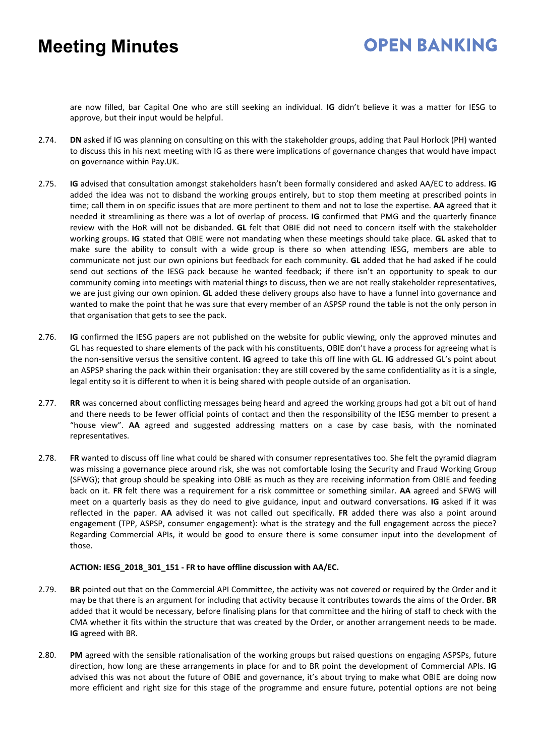## **OPEN BANKING**

are now filled, bar Capital One who are still seeking an individual. **IG** didn't believe it was a matter for IESG to approve, but their input would be helpful.

- 2.74. **DN** asked if IG was planning on consulting on this with the stakeholder groups, adding that Paul Horlock (PH) wanted to discuss this in his next meeting with IG as there were implications of governance changes that would have impact on governance within Pay.UK.
- 2.75. **IG** advised that consultation amongst stakeholders hasn't been formally considered and asked AA/EC to address. **IG** added the idea was not to disband the working groups entirely, but to stop them meeting at prescribed points in time; call them in on specific issues that are more pertinent to them and not to lose the expertise. **AA** agreed that it needed it streamlining as there was a lot of overlap of process. **IG** confirmed that PMG and the quarterly finance review with the HoR will not be disbanded. **GL** felt that OBIE did not need to concern itself with the stakeholder working groups. **IG** stated that OBIE were not mandating when these meetings should take place. **GL** asked that to make sure the ability to consult with a wide group is there so when attending IESG, members are able to communicate not just our own opinions but feedback for each community. **GL** added that he had asked if he could send out sections of the IESG pack because he wanted feedback; if there isn't an opportunity to speak to our community coming into meetings with material things to discuss, then we are not really stakeholder representatives, we are just giving our own opinion. **GL** added these delivery groups also have to have a funnel into governance and wanted to make the point that he was sure that every member of an ASPSP round the table is not the only person in that organisation that gets to see the pack.
- 2.76. **IG** confirmed the IESG papers are not published on the website for public viewing, only the approved minutes and GL has requested to share elements of the pack with his constituents, OBIE don't have a process for agreeing what is the non-sensitive versus the sensitive content. **IG** agreed to take this off line with GL. **IG** addressed GL's point about an ASPSP sharing the pack within their organisation: they are still covered by the same confidentiality as it is a single, legal entity so it is different to when it is being shared with people outside of an organisation.
- 2.77. **RR** was concerned about conflicting messages being heard and agreed the working groups had got a bit out of hand and there needs to be fewer official points of contact and then the responsibility of the IESG member to present a "house view". **AA** agreed and suggested addressing matters on a case by case basis, with the nominated representatives.
- 2.78. **FR** wanted to discuss off line what could be shared with consumer representatives too. She felt the pyramid diagram was missing a governance piece around risk, she was not comfortable losing the Security and Fraud Working Group (SFWG); that group should be speaking into OBIE as much as they are receiving information from OBIE and feeding back on it. **FR** felt there was a requirement for a risk committee or something similar. **AA** agreed and SFWG will meet on a quarterly basis as they do need to give guidance, input and outward conversations. **IG** asked if it was reflected in the paper. **AA** advised it was not called out specifically. **FR** added there was also a point around engagement (TPP, ASPSP, consumer engagement): what is the strategy and the full engagement across the piece? Regarding Commercial APIs, it would be good to ensure there is some consumer input into the development of those.

### **ACTION: IESG\_2018\_301\_151 - FR to have offline discussion with AA/EC.**

- 2.79. **BR** pointed out that on the Commercial API Committee, the activity was not covered or required by the Order and it may be that there is an argument for including that activity because it contributes towards the aims of the Order. **BR** added that it would be necessary, before finalising plans for that committee and the hiring of staff to check with the CMA whether it fits within the structure that was created by the Order, or another arrangement needs to be made. **IG** agreed with BR.
- 2.80. **PM** agreed with the sensible rationalisation of the working groups but raised questions on engaging ASPSPs, future direction, how long are these arrangements in place for and to BR point the development of Commercial APIs. **IG** advised this was not about the future of OBIE and governance, it's about trying to make what OBIE are doing now more efficient and right size for this stage of the programme and ensure future, potential options are not being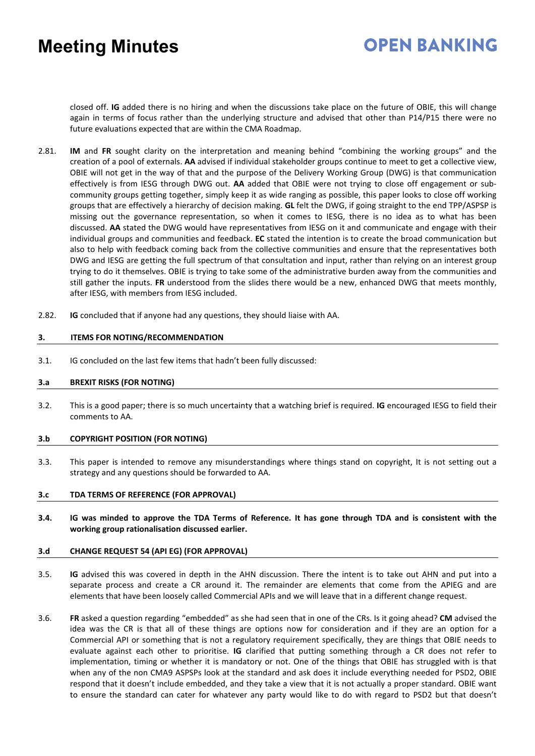## **OPEN BANKING**

closed off. **IG** added there is no hiring and when the discussions take place on the future of OBIE, this will change again in terms of focus rather than the underlying structure and advised that other than P14/P15 there were no future evaluations expected that are within the CMA Roadmap.

- 2.81. **IM** and **FR** sought clarity on the interpretation and meaning behind "combining the working groups" and the creation of a pool of externals. **AA** advised if individual stakeholder groups continue to meet to get a collective view, OBIE will not get in the way of that and the purpose of the Delivery Working Group (DWG) is that communication effectively is from IESG through DWG out. **AA** added that OBIE were not trying to close off engagement or subcommunity groups getting together, simply keep it as wide ranging as possible, this paper looks to close off working groups that are effectively a hierarchy of decision making. **GL** felt the DWG, if going straight to the end TPP/ASPSP is missing out the governance representation, so when it comes to IESG, there is no idea as to what has been discussed. **AA** stated the DWG would have representatives from IESG on it and communicate and engage with their individual groups and communities and feedback. **EC** stated the intention is to create the broad communication but also to help with feedback coming back from the collective communities and ensure that the representatives both DWG and IESG are getting the full spectrum of that consultation and input, rather than relying on an interest group trying to do it themselves. OBIE is trying to take some of the administrative burden away from the communities and still gather the inputs. **FR** understood from the slides there would be a new, enhanced DWG that meets monthly, after IESG, with members from IESG included.
- 2.82. **IG** concluded that if anyone had any questions, they should liaise with AA.

### **3. ITEMS FOR NOTING/RECOMMENDATION**

3.1. IG concluded on the last few items that hadn't been fully discussed:

### **3.a BREXIT RISKS (FOR NOTING)**

3.2. This is a good paper; there is so much uncertainty that a watching brief is required. **IG** encouraged IESG to field their comments to AA.

#### **3.b COPYRIGHT POSITION (FOR NOTING)**

3.3. This paper is intended to remove any misunderstandings where things stand on copyright, It is not setting out a strategy and any questions should be forwarded to AA.

#### **3.c TDA TERMS OF REFERENCE (FOR APPROVAL)**

**3.4. IG was minded to approve the TDA Terms of Reference. It has gone through TDA and is consistent with the working group rationalisation discussed earlier.**

#### **3.d CHANGE REQUEST 54 (API EG) (FOR APPROVAL)**

- 3.5. **IG** advised this was covered in depth in the AHN discussion. There the intent is to take out AHN and put into a separate process and create a CR around it. The remainder are elements that come from the APIEG and are elements that have been loosely called Commercial APIs and we will leave that in a different change request.
- 3.6. **FR** asked a question regarding "embedded" as she had seen that in one of the CRs. Is it going ahead? **CM** advised the idea was the CR is that all of these things are options now for consideration and if they are an option for a Commercial API or something that is not a regulatory requirement specifically, they are things that OBIE needs to evaluate against each other to prioritise. **IG** clarified that putting something through a CR does not refer to implementation, timing or whether it is mandatory or not. One of the things that OBIE has struggled with is that when any of the non CMA9 ASPSPs look at the standard and ask does it include everything needed for PSD2, OBIE respond that it doesn't include embedded, and they take a view that it is not actually a proper standard. OBIE want to ensure the standard can cater for whatever any party would like to do with regard to PSD2 but that doesn't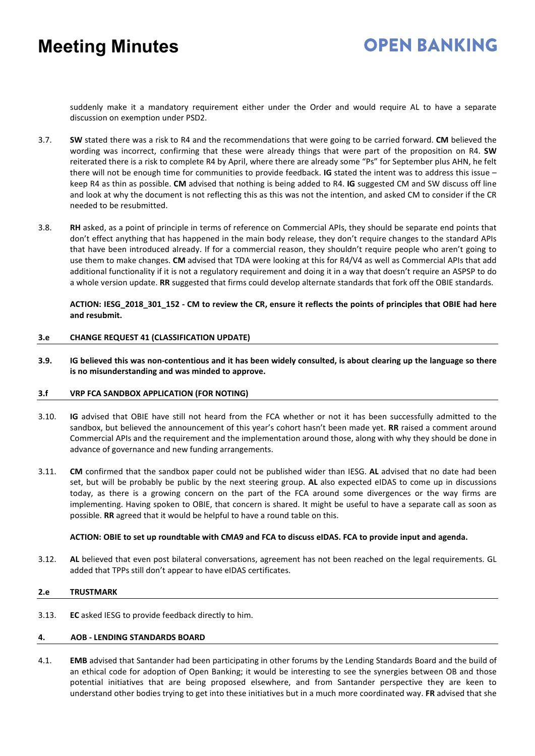## **OPEN BANKING**

suddenly make it a mandatory requirement either under the Order and would require AL to have a separate discussion on exemption under PSD2.

- 3.7. **SW** stated there was a risk to R4 and the recommendations that were going to be carried forward. **CM** believed the wording was incorrect, confirming that these were already things that were part of the proposition on R4. **SW** reiterated there is a risk to complete R4 by April, where there are already some "Ps" for September plus AHN, he felt there will not be enough time for communities to provide feedback. **IG** stated the intent was to address this issue – keep R4 as thin as possible. **CM** advised that nothing is being added to R4. **IG** suggested CM and SW discuss off line and look at why the document is not reflecting this as this was not the intention, and asked CM to consider if the CR needed to be resubmitted.
- 3.8. **RH** asked, as a point of principle in terms of reference on Commercial APIs, they should be separate end points that don't effect anything that has happened in the main body release, they don't require changes to the standard APIs that have been introduced already. If for a commercial reason, they shouldn't require people who aren't going to use them to make changes. **CM** advised that TDA were looking at this for R4/V4 as well as Commercial APIs that add additional functionality if it is not a regulatory requirement and doing it in a way that doesn't require an ASPSP to do a whole version update. **RR** suggested that firms could develop alternate standards that fork off the OBIE standards.

**ACTION: IESG\_2018\_301\_152 - CM to review the CR, ensure it reflects the points of principles that OBIE had here and resubmit.**

### **3.e CHANGE REQUEST 41 (CLASSIFICATION UPDATE)**

**3.9. IG believed this was non-contentious and it has been widely consulted, is about clearing up the language so there is no misunderstanding and was minded to approve.**

### **3.f VRP FCA SANDBOX APPLICATION (FOR NOTING)**

- 3.10. **IG** advised that OBIE have still not heard from the FCA whether or not it has been successfully admitted to the sandbox, but believed the announcement of this year's cohort hasn't been made yet. **RR** raised a comment around Commercial APIs and the requirement and the implementation around those, along with why they should be done in advance of governance and new funding arrangements.
- 3.11. **CM** confirmed that the sandbox paper could not be published wider than IESG. **AL** advised that no date had been set, but will be probably be public by the next steering group. **AL** also expected eIDAS to come up in discussions today, as there is a growing concern on the part of the FCA around some divergences or the way firms are implementing. Having spoken to OBIE, that concern is shared. It might be useful to have a separate call as soon as possible. **RR** agreed that it would be helpful to have a round table on this.

### **ACTION: OBIE to set up roundtable with CMA9 and FCA to discuss eIDAS. FCA to provide input and agenda.**

3.12. **AL** believed that even post bilateral conversations, agreement has not been reached on the legal requirements. GL added that TPPs still don't appear to have eIDAS certificates.

### **2.e TRUSTMARK**

3.13. **EC** asked IESG to provide feedback directly to him.

#### **4. AOB - LENDING STANDARDS BOARD**

4.1. **EMB** advised that Santander had been participating in other forums by the Lending Standards Board and the build of an ethical code for adoption of Open Banking; it would be interesting to see the synergies between OB and those potential initiatives that are being proposed elsewhere, and from Santander perspective they are keen to understand other bodies trying to get into these initiatives but in a much more coordinated way. **FR** advised that she